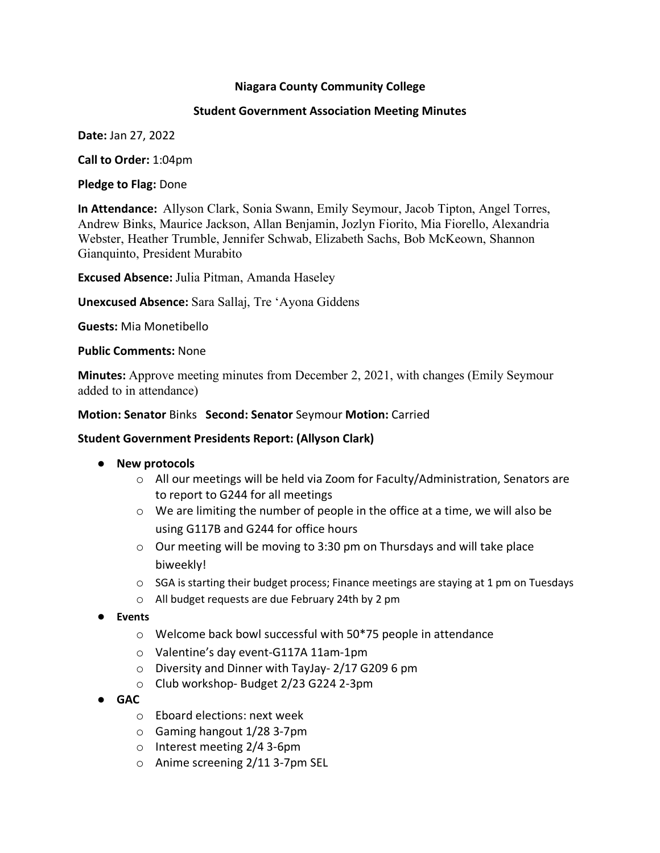## **Niagara County Community College**

## **Student Government Association Meeting Minutes**

**Date:** Jan 27, 2022

**Call to Order:** 1:04pm

**Pledge to Flag:** Done

**In Attendance:** Allyson Clark, Sonia Swann, Emily Seymour, Jacob Tipton, Angel Torres, Andrew Binks, Maurice Jackson, Allan Benjamin, Jozlyn Fiorito, Mia Fiorello, Alexandria Webster, Heather Trumble, Jennifer Schwab, Elizabeth Sachs, Bob McKeown, Shannon Gianquinto, President Murabito

**Excused Absence:** Julia Pitman, Amanda Haseley

**Unexcused Absence:** Sara Sallaj, Tre 'Ayona Giddens

**Guests:** Mia Monetibello

## **Public Comments:** None

**Minutes:** Approve meeting minutes from December 2, 2021, with changes (Emily Seymour added to in attendance)

## **Motion: Senator** Binks **Second: Senator** Seymour **Motion:** Carried

## **Student Government Presidents Report: (Allyson Clark)**

- **New protocols**
	- o All our meetings will be held via Zoom for Faculty/Administration, Senators are to report to G244 for all meetings
	- $\circ$  We are limiting the number of people in the office at a time, we will also be using G117B and G244 for office hours
	- o Our meeting will be moving to 3:30 pm on Thursdays and will take place biweekly!
	- $\circ$  SGA is starting their budget process; Finance meetings are staying at 1 pm on Tuesdays
	- o All budget requests are due February 24th by 2 pm
- **Events**
	- o Welcome back bowl successful with 50\*75 people in attendance
	- o Valentine's day event-G117A 11am-1pm
	- o Diversity and Dinner with TayJay- 2/17 G209 6 pm
	- o Club workshop- Budget 2/23 G224 2-3pm
- **GAC**
	- o Eboard elections: next week
	- o Gaming hangout 1/28 3-7pm
	- o Interest meeting 2/4 3-6pm
	- o Anime screening 2/11 3-7pm SEL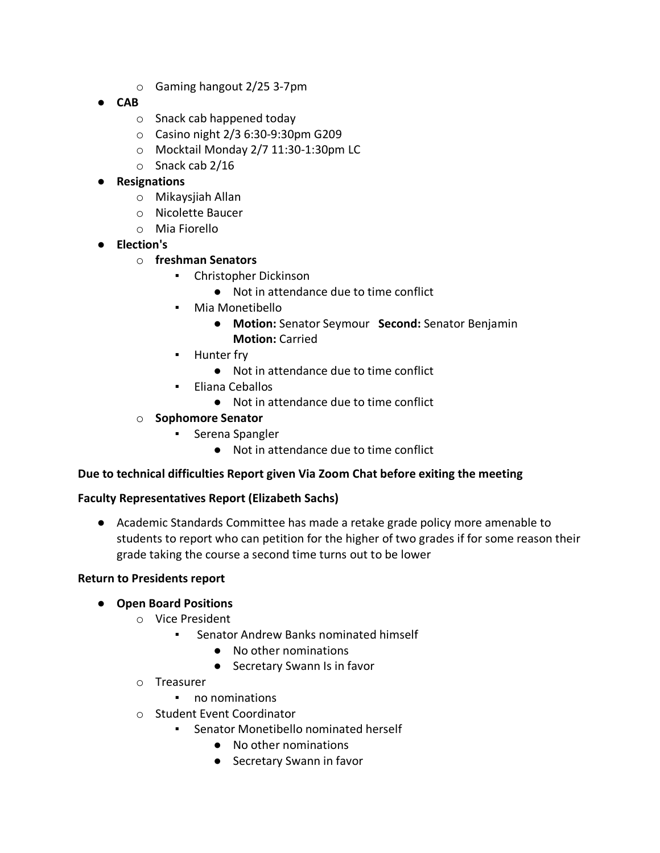- o Gaming hangout 2/25 3-7pm
- **CAB**
	- o Snack cab happened today
	- o Casino night 2/3 6:30-9:30pm G209
	- o Mocktail Monday 2/7 11:30-1:30pm LC
	- o Snack cab 2/16

# ● **Resignations**

- o Mikaysjiah Allan
- o Nicolette Baucer
- o Mia Fiorello
- **Election's**

# o **freshman Senators**

- Christopher Dickinson
	- Not in attendance due to time conflict
- Mia Monetibello
	- **Motion:** Senator Seymour **Second:** Senator Benjamin **Motion:** Carried
- **•** Hunter fry
	- Not in attendance due to time conflict
- Eliana Ceballos
	- Not in attendance due to time conflict

# o **Sophomore Senator**

- Serena Spangler
	- Not in attendance due to time conflict

## **Due to technical difficulties Report given Via Zoom Chat before exiting the meeting**

## **Faculty Representatives Report (Elizabeth Sachs)**

● Academic Standards Committee has made a retake grade policy more amenable to students to report who can petition for the higher of two grades if for some reason their grade taking the course a second time turns out to be lower

## **Return to Presidents report**

## ● **Open Board Positions**

- o Vice President
	- Senator Andrew Banks nominated himself
		- No other nominations
		- Secretary Swann Is in favor
- o Treasurer
	- no nominations
- o Student Event Coordinator
	- Senator Monetibello nominated herself
		- No other nominations
		- Secretary Swann in favor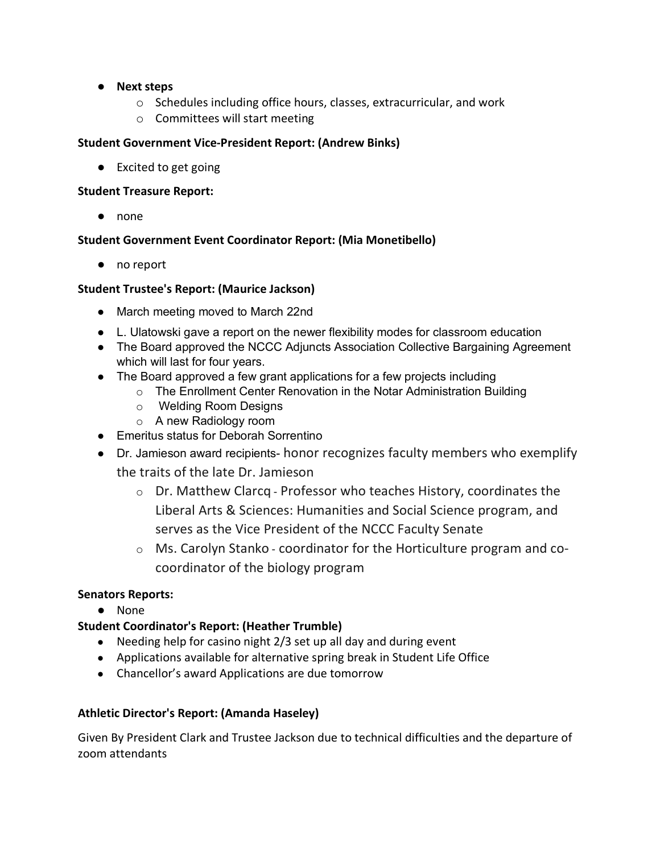- **Next steps**
	- o Schedules including office hours, classes, extracurricular, and work
	- o Committees will start meeting

## **Student Government Vice-President Report: (Andrew Binks)**

● Excited to get going

#### **Student Treasure Report:**

● none

## **Student Government Event Coordinator Report: (Mia Monetibello)**

● no report

## **Student Trustee's Report: (Maurice Jackson)**

- March meeting moved to March 22nd
- L. Ulatowski gave a report on the newer flexibility modes for classroom education
- The Board approved the NCCC Adjuncts Association Collective Bargaining Agreement which will last for four years.
- The Board approved a few grant applications for a few projects including
	- o The Enrollment Center Renovation in the Notar Administration Building
	- o Welding Room Designs
	- o A new Radiology room
- Emeritus status for Deborah Sorrentino
- Dr. Jamieson award recipients- honor recognizes faculty members who exemplify the traits of the late Dr. Jamieson
	- o Dr. Matthew Clarcq Professor who teaches History, coordinates the Liberal Arts & Sciences: Humanities and Social Science program, and serves as the Vice President of the NCCC Faculty Senate
	- $\circ$  Ms. Carolyn Stanko coordinator for the Horticulture program and cocoordinator of the biology program

## **Senators Reports:**

● None

## **Student Coordinator's Report: (Heather Trumble)**

- Needing help for casino night 2/3 set up all day and during event
- Applications available for alternative spring break in Student Life Office
- Chancellor's award Applications are due tomorrow

## **Athletic Director's Report: (Amanda Haseley)**

Given By President Clark and Trustee Jackson due to technical difficulties and the departure of zoom attendants